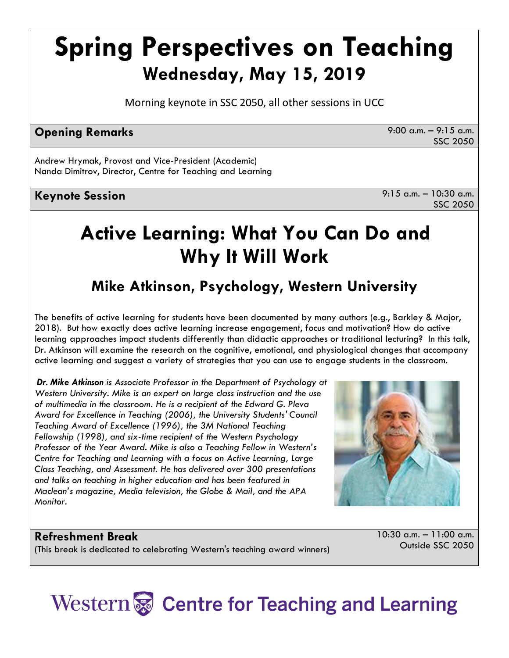# **Spring Perspectives on Teaching Wednesday, May 15, 2019**

Morning keynote in SSC 2050, all other sessions in UCC

## **Opening Remarks 9:00 a.m.** – 9:15 a.m.

SSC 2050

Andrew Hrymak, Provost and Vice-President (Academic) Nanda Dimitrov, Director, Centre for Teaching and Learning

# **Keynote Session** 9:15 a.m. – 10:30 a.m.

SSC 2050

# **Active Learning: What You Can Do and Why It Will Work**

# **Mike Atkinson, Psychology, Western University**

The benefits of active learning for students have been documented by many authors (e.g., Barkley & Major, 2018). But how exactly does active learning increase engagement, focus and motivation? How do active learning approaches impact students differently than didactic approaches or traditional lecturing? In this talk, Dr. Atkinson will examine the research on the cognitive, emotional, and physiological changes that accompany active learning and suggest a variety of strategies that you can use to engage students in the classroom.

*Dr. Mike Atkinson is Associate Professor in the Department of Psychology at Western University. Mike is an expert on large class instruction and the use of multimedia in the classroom. He is a recipient of the Edward G. Pleva Award for Excellence in Teaching (2006), the University Students' Council Teaching Award of Excellence (1996), the 3M National Teaching Fellowship (1998), and six-time recipient of the Western Psychology Professor of the Year Award. Mike is also a Teaching Fellow in Western's Centre for Teaching and Learning with a focus on Active Learning, Large Class Teaching, and Assessment. He has delivered over 300 presentations and talks on teaching in higher education and has been featured in Maclean's magazine, Media television, the Globe & Mail, and the APA Monitor.*



### **Refreshment Break**

(This break is dedicated to celebrating Western's teaching award winners)

10:30 a.m. – 11:00 a.m. Outside SSC 2050

# Western & Centre for Teaching and Learning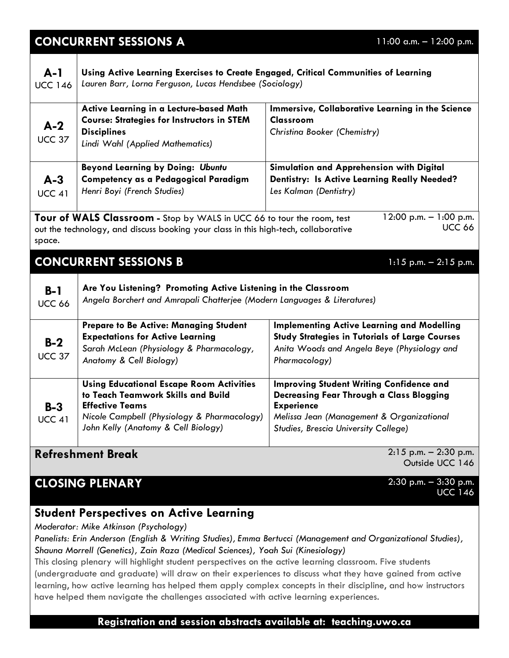| <b>CONCURRENT SESSIONS A</b><br>$11:00$ a.m. $- 12:00$ p.m.                                                                                                                                                          |                                                                                                                                                                                                       |                                                                                                                                                                                                       |
|----------------------------------------------------------------------------------------------------------------------------------------------------------------------------------------------------------------------|-------------------------------------------------------------------------------------------------------------------------------------------------------------------------------------------------------|-------------------------------------------------------------------------------------------------------------------------------------------------------------------------------------------------------|
| $A-1$<br><b>UCC 146</b>                                                                                                                                                                                              | Using Active Learning Exercises to Create Engaged, Critical Communities of Learning<br>Lauren Barr, Lorna Ferguson, Lucas Hendsbee (Sociology)                                                        |                                                                                                                                                                                                       |
| $A-2$<br><b>UCC 37</b>                                                                                                                                                                                               | Active Learning in a Lecture-based Math<br><b>Course: Strategies for Instructors in STEM</b><br><b>Disciplines</b><br>Lindi Wahl (Applied Mathematics)                                                | Immersive, Collaborative Learning in the Science<br>Classroom<br>Christina Booker (Chemistry)                                                                                                         |
| $A-3$<br><b>UCC 41</b>                                                                                                                                                                                               | <b>Beyond Learning by Doing: Ubuntu</b><br>Competency as a Pedagogical Paradigm<br>Henri Boyi (French Studies)                                                                                        | Simulation and Apprehension with Digital<br><b>Dentistry: Is Active Learning Really Needed?</b><br>Les Kalman (Dentistry)                                                                             |
| 12:00 p.m. $- 1:00$ p.m.<br>Tour of WALS Classroom - Stop by WALS in UCC 66 to tour the room, test<br><b>UCC 66</b><br>out the technology, and discuss booking your class in this high-tech, collaborative<br>space. |                                                                                                                                                                                                       |                                                                                                                                                                                                       |
| <b>CONCURRENT SESSIONS B</b><br>$1:15$ p.m. $-2:15$ p.m.                                                                                                                                                             |                                                                                                                                                                                                       |                                                                                                                                                                                                       |
| $B-1$<br><b>UCC 66</b>                                                                                                                                                                                               | Are You Listening? Promoting Active Listening in the Classroom<br>Angela Borchert and Amrapali Chatterjee (Modern Languages & Literatures)                                                            |                                                                                                                                                                                                       |
| $B-2$<br><b>UCC 37</b>                                                                                                                                                                                               | Prepare to Be Active: Managing Student<br><b>Expectations for Active Learning</b><br>Sarah McLean (Physiology & Pharmacology,<br>Anatomy & Cell Biology)                                              | <b>Implementing Active Learning and Modelling</b><br><b>Study Strategies in Tutorials of Large Courses</b><br>Anita Woods and Angela Beye (Physiology and<br>Pharmacology)                            |
| $B-3$<br><b>UCC 41</b>                                                                                                                                                                                               | <b>Using Educational Escape Room Activities</b><br>to Teach Teamwork Skills and Build<br><b>Effective Teams</b><br>Nicole Campbell (Physiology & Pharmacology)<br>John Kelly (Anatomy & Cell Biology) | <b>Improving Student Writing Confidence and</b><br>Decreasing Fear Through a Class Blogging<br><b>Experience</b><br>Melissa Jean (Management & Organizational<br>Studies, Brescia University College) |
| $2:15$ p.m. $-2:30$ p.m.<br><b>Refreshment Break</b>                                                                                                                                                                 |                                                                                                                                                                                                       |                                                                                                                                                                                                       |

## **CLOSING PLENARY** 2:30 p.m. – 3:30 p.m.

Outside UCC 146

# UCC 146

# **Student Perspectives on Active Learning**

*Moderator: Mike Atkinson (Psychology)*

*Panelists: Erin Anderson (English & Writing Studies), Emma Bertucci (Management and Organizational Studies), Shauna Morrell (Genetics), Zain Raza (Medical Sciences), Yoah Sui (Kinesiology)*

This closing plenary will highlight student perspectives on the active learning classroom. Five students (undergraduate and graduate) will draw on their experiences to discuss what they have gained from active learning, how active learning has helped them apply complex concepts in their discipline, and how instructors have helped them navigate the challenges associated with active learning experiences.

**Registration and session abstracts available at: teaching.uwo.ca**